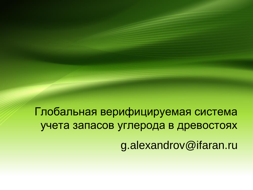Глобальная верифицируемая система учета запасов углерода в древостоях g.alexandrov@ifaran.ru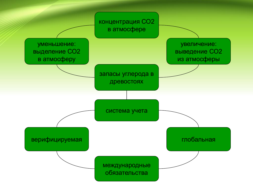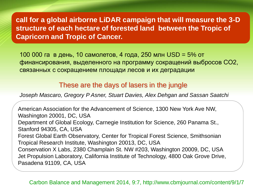**call for a global airborne LiDAR campaign that will measure the 3-D structure of each hectare of forested land between the Tropic of Capricorn and Tropic of Cancer.**

100 000 га в день, 10 самолетов, 4 года, 250 млн USD = 5% от финансирования, выделенного на программу сокращений выбросов СО2, связанных с сокращением площади лесов и их деградации

## These are the days of lasers in the jungle

*Joseph Mascaro, Gregory P Asner, Stuart Davies, Alex Dehgan and Sassan Saatchi*

American Association for the Advancement of Science, 1300 New York Ave NW, Washington 20001, DC, USA Department of Global Ecology, Carnegie Institution for Science, 260 Panama St., Stanford 94305, CA, USA Forest Global Earth Observatory, Center for Tropical Forest Science, Smithsonian Tropical Research Institute, Washington 20013, DC, USA Conservation X Labs, 2380 Champlain St. NW #203, Washington 20009, DC, USA Jet Propulsion Laboratory, California Institute of Technology, 4800 Oak Grove Drive, Pasadena 91109, CA, USA

## Carbon Balance and Management 2014, 9:7, http://www.cbmjournal.com/content/9/1/7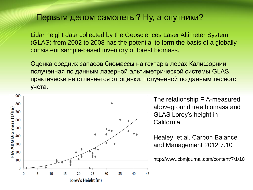## Первым делом самолеты? Ну, а спутники?

Lidar height data collected by the Geosciences Laser Altimeter System (GLAS) from 2002 to 2008 has the potential to form the basis of a globally consistent sample-based inventory of forest biomass.

Оценка средних запасов биомассы на гектар в лесах Калифорнии, полученная по данным лазерной альтиметрической системы GLAS, практически не отличается от оценки, полученной по данным лесного учета.



The relationship FIA-measured aboveground tree biomass and GLAS Lorey's height in California.

Healey et al. Carbon Balance and Management 2012 7:10

http://www.cbmjournal.com/content/7/1/10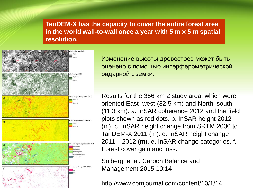**TanDEM-X has the capacity to cover the entire forest area in the world wall-to-wall once a year with 5 m x 5 m spatial resolution.**



Изменение высоты древостоев может быть оценено с помощью интерферометрической радарной съемки.

Results for the 356 km 2 study area, which were oriented East–west (32.5 km) and North–south (11.3 km). a. InSAR coherence 2012 and the field plots shown as red dots. b. InSAR height 2012 (m). c. InSAR height change from SRTM 2000 to TanDEM-X 2011 (m). d. InSAR height change 2011 – 2012 (m). e. InSAR change categories. f. Forest cover gain and loss.

Solberg et al. Carbon Balance and Management 2015 10:14

http://www.cbmjournal.com/content/10/1/14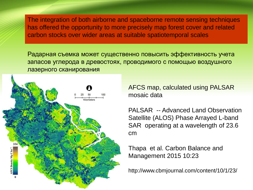The integration of both airborne and spaceborne remote sensing techniques has offered the opportunity to more precisely map forest cover and related carbon stocks over wider areas at suitable spatiotemporal scales

Радарная съемка может существенно повысить эффективность учета запасов углерода в древостоях, проводимого с помощью воздушного лазерного сканирования



AFCS map, calculated using PALSAR mosaic data

PALSAR -- Advanced Land Observation Satellite (ALOS) Phase Arrayed L-band SAR operating at a wavelength of 23.6 cm

Thapa et al. Carbon Balance and Management 2015 10:23

http://www.cbmjournal.com/content/10/1/23/